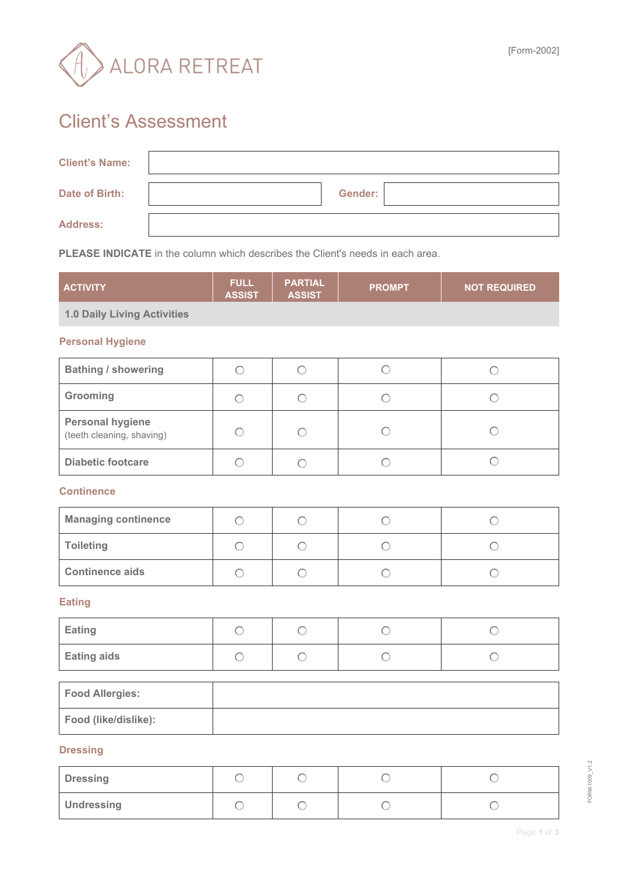

## Client's Assessment

| <b>Client's Name:</b> |                |  |
|-----------------------|----------------|--|
| Date of Birth:        | <b>Gender:</b> |  |
| <b>Address:</b>       |                |  |

**PLEASE INDICATE** in the column which describes the Client's needs in each area.

| <b>ACTIVITY</b>                                      | <b>FULL</b><br><b>ASSIST</b> | <b>PARTIAL</b><br><b>ASSIST</b> | <b>PROMPT</b> | <b>NOT REQUIRED</b> |  |
|------------------------------------------------------|------------------------------|---------------------------------|---------------|---------------------|--|
| <b>1.0 Daily Living Activities</b>                   |                              |                                 |               |                     |  |
| <b>Personal Hygiene</b>                              |                              |                                 |               |                     |  |
| <b>Bathing / showering</b>                           | $\bigcirc$                   | $\bigcirc$                      | $\bigcirc$    | $\bigcirc$          |  |
| Grooming                                             | $\bigcirc$                   | $\bigcirc$                      | $\bigcirc$    | $\bigcirc$          |  |
| <b>Personal hygiene</b><br>(teeth cleaning, shaving) | $\bigcirc$                   | $\bigcirc$                      | $\bigcirc$    | $\bigcirc$          |  |
| <b>Diabetic footcare</b>                             | $\bigcirc$                   | $\bigcirc$                      | $\bigcirc$    | $\bigcirc$          |  |
| <b>Continence</b>                                    |                              |                                 |               |                     |  |
| <b>Managing continence</b>                           | $\bigcirc$                   | $\bigcirc$                      | $\bigcirc$    | $\bigcirc$          |  |
| <b>Toileting</b>                                     | $\bigcirc$                   | $\bigcirc$                      | $\bigcirc$    | $\bigcirc$          |  |
| <b>Continence aids</b>                               | $\bigcirc$                   | $\bigcirc$                      | $\bigcirc$    | $\bigcirc$          |  |
| <b>Eating</b>                                        |                              |                                 |               |                     |  |
| Eating                                               | $\bigcirc$                   | $\bigcirc$                      | $\bigcirc$    | $\bigcirc$          |  |
| <b>Eating aids</b>                                   | $\bigcirc$                   | $\bigcirc$                      | $\bigcirc$    | $\bigcirc$          |  |
| <b>Food Allergies:</b>                               |                              |                                 |               |                     |  |
| Food (like/dislike):                                 |                              |                                 |               |                     |  |
| <b>Dressing</b>                                      |                              |                                 |               |                     |  |

**Dressing**   $\circ$  $\circ$  $\circ$  $\circ$ **Undressing**   $\circ$  $\bigcirc$  $\bigcirc$  $\circ$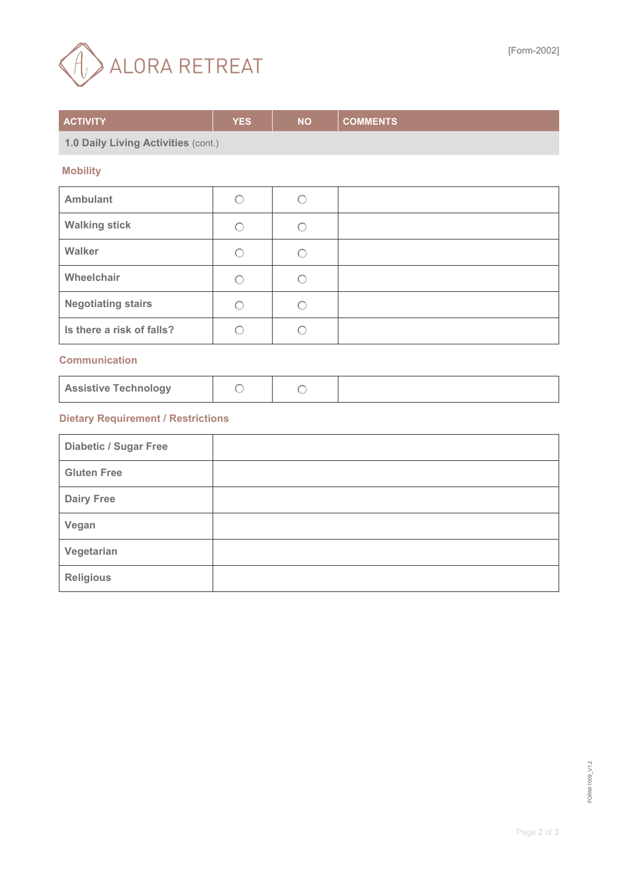

| <b>ACTIVITY</b>                           | <b>YES</b> | <b>NO</b>  | <b>COMMENTS</b> |  |
|-------------------------------------------|------------|------------|-----------------|--|
| 1.0 Daily Living Activities (cont.)       |            |            |                 |  |
| <b>Mobility</b>                           |            |            |                 |  |
| <b>Ambulant</b>                           | $\bigcirc$ | $\bigcirc$ |                 |  |
| <b>Walking stick</b>                      | $\bigcirc$ | $\bigcirc$ |                 |  |
| Walker                                    | $\bigcirc$ | $\bigcirc$ |                 |  |
| Wheelchair                                | $\bigcirc$ | $\bigcirc$ |                 |  |
| <b>Negotiating stairs</b>                 | $\bigcirc$ | $\bigcirc$ |                 |  |
| Is there a risk of falls?                 | $\bigcirc$ | $\bigcirc$ |                 |  |
| <b>Communication</b>                      |            |            |                 |  |
| <b>Assistive Technology</b>               | $\bigcirc$ | $\bigcirc$ |                 |  |
| <b>Dietary Requirement / Restrictions</b> |            |            |                 |  |
| <b>Diabetic / Sugar Free</b>              |            |            |                 |  |
| <b>Gluten Free</b>                        |            |            |                 |  |
| <b>Dairy Free</b>                         |            |            |                 |  |
| Vegan                                     |            |            |                 |  |
| Vegetarian                                |            |            |                 |  |
| <b>Religious</b>                          |            |            |                 |  |